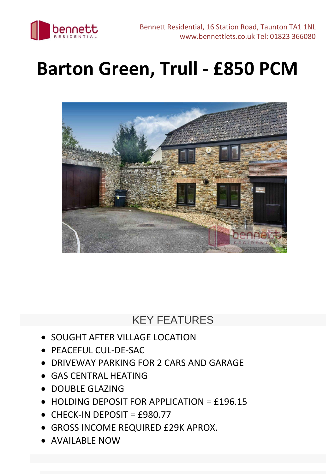

## **Barton Green, Trull - £850 PCM**



## KEY FEATURES

- SOUGHT AFTER VILLAGE LOCATION
- PEACEFUL CUL-DE-SAC
- DRIVEWAY PARKING FOR 2 CARS AND GARAGE
- GAS CENTRAL HEATING
- DOUBLE GLAZING
- HOLDING DEPOSIT FOR APPLICATION = £196.15
- $\bullet$  CHECK-IN DEPOSIT = £980.77
- GROSS INCOME REQUIRED £29K APROX.
- AVAILABLE NOW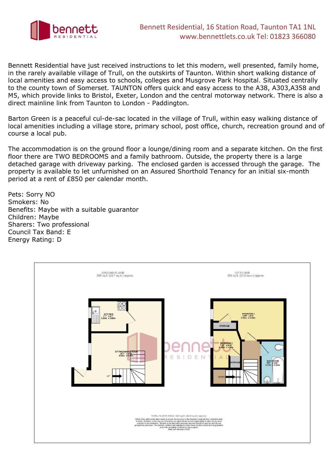

Bennett Residential have just received instructions to let this modern, well presented, family home, in the rarely available village of Trull, on the outskirts of Taunton. Within short walking distance of local amenities and easy access to schools, colleges and Musgrove Park Hospital. Situated centrally to the county town of Somerset. TAUNTON offers quick and easy access to the A38, A303,A358 and M5, which provide links to Bristol, Exeter, London and the central motorway network. There is also a direct mainline link from Taunton to London - Paddington.

Barton Green is a peaceful cul-de-sac located in the village of Trull, within easy walking distance of local amenities including a village store, primary school, post office, church, recreation ground and of course a local pub.

The accommodation is on the ground floor a lounge/dining room and a separate kitchen. On the first floor there are TWO BEDROOMS and a family bathroom. Outside, the property there is a large detached garage with driveway parking. The enclosed garden is accessed through the garage. The property is available to let unfurnished on an Assured Shorthold Tenancy for an initial six-month period at a rent of £850 per calendar month.

Pets: Sorry NO Smokers: No Benefits: Maybe with a suitable guarantor Children: Maybe Sharers: Two professional Council Tax Band: E Energy Rating: D